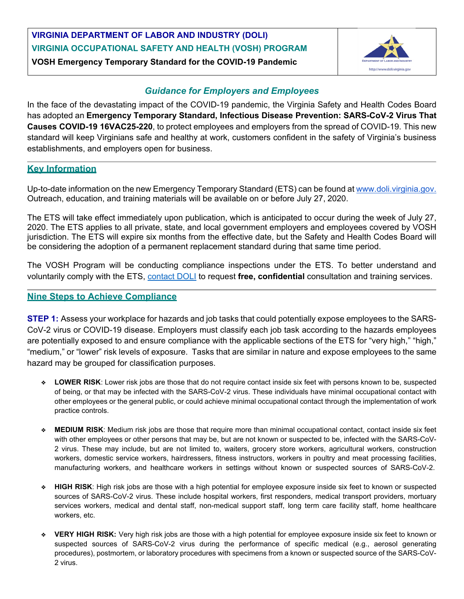## **VIRGINIA DEPARTMENT OF LABOR AND INDUSTRY (DOLI) VIRGINIA OCCUPATIONAL SAFETY AND HEALTH (VOSH) PROGRAM VOSH Emergency Temporary Standard for the COVID-19 Pandemic**



## *Guidance for Employers and Employees*

In the face of the devastating impact of the COVID-19 pandemic, the Virginia Safety and Health Codes Board has adopted an **Emergency Temporary Standard, Infectious Disease Prevention: SARS-CoV-2 Virus That Causes COVID-19 16VAC25-220**, to protect employees and employers from the spread of COVID-19. This new standard will keep Virginians safe and healthy at work, customers confident in the safety of Virginia's business establishments, and employers open for business.

## **Key Information**

Up-to-date information on the new Emergency Temporary Standard (ETS) can be found at [www.doli.virginia.gov.](http://www.doli.virginia.gov/) Outreach, education, and training materials will be available on or before July 27, 2020.

The ETS will take effect immediately upon publication, which is anticipated to occur during the week of July 27, 2020. The ETS applies to all private, state, and local government employers and employees covered by VOSH jurisdiction. The ETS will expire six months from the effective date, but the Safety and Health Codes Board will be considering the adoption of a permanent replacement standard during that same time period.

The VOSH Program will be conducting compliance inspections under the ETS. To better understand and voluntarily comply with the ETS, [contact DOLI](https://www.doli.virginia.gov/vosh-programs/consultation/) to request **free, confidential** consultation and training services.

## **Nine Steps to Achieve Compliance**

**STEP 1:** Assess your workplace for hazards and job tasks that could potentially expose employees to the SARS-CoV-2 virus or COVID-19 disease. Employers must classify each job task according to the hazards employees are potentially exposed to and ensure compliance with the applicable sections of the ETS for "very high," "high," "medium," or "lower" risk levels of exposure. Tasks that are similar in nature and expose employees to the same hazard may be grouped for classification purposes.

- ❖ **LOWER RISK**: Lower risk jobs are those that do not require contact inside six feet with persons known to be, suspected of being, or that may be infected with the SARS-CoV-2 virus. These individuals have minimal occupational contact with other employees or the general public, or could achieve minimal occupational contact through the implementation of work practice controls.
- ❖ **MEDIUM RISK**: Medium risk jobs are those that require more than minimal occupational contact, contact inside six feet with other employees or other persons that may be, but are not known or suspected to be, infected with the SARS-CoV-2 virus. These may include, but are not limited to, waiters, grocery store workers, agricultural workers, construction workers, domestic service workers, hairdressers, fitness instructors, workers in poultry and meat processing facilities, manufacturing workers, and healthcare workers in settings without known or suspected sources of SARS-CoV-2.
- ❖ **HIGH RISK**: High risk jobs are those with a high potential for employee exposure inside six feet to known or suspected sources of SARS-CoV-2 virus. These include hospital workers, first responders, medical transport providers, mortuary services workers, medical and dental staff, non-medical support staff, long term care facility staff, home healthcare workers, etc.
- ❖ **VERY HIGH RISK:** Very high risk jobs are those with a high potential for employee exposure inside six feet to known or suspected sources of SARS-CoV-2 virus during the performance of specific medical (e.g., aerosol generating procedures), postmortem, or laboratory procedures with specimens from a known or suspected source of the SARS-CoV-2 virus.